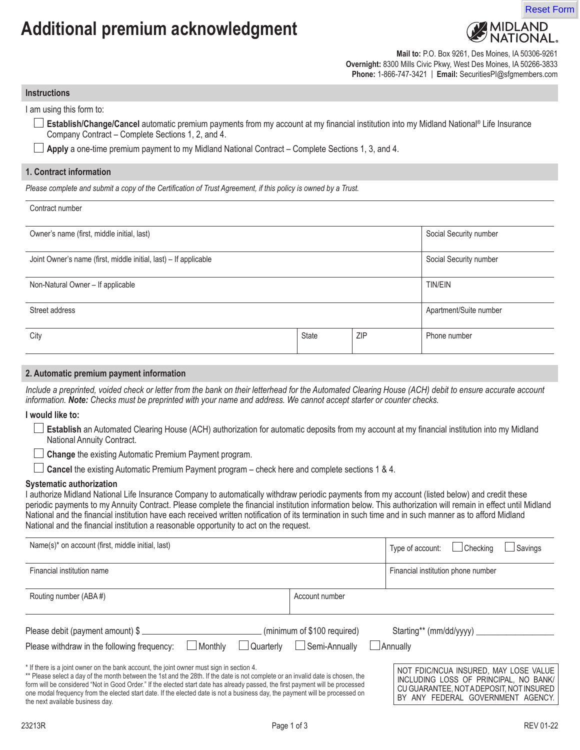# **Additional premium acknowledgment**



**Mail to:** P.O. Box 9261, Des Moines, IA 50306-9261 **Overnight:** 8300 Mills Civic Pkwy, West Des Moines, IA 50266-3833 **Phone:** 1-866-747-3421 | **Email:** SecuritiesPI@sfgmembers.com

**Instructions**

I am using this form to:

**Establish/Change/Cancel** automatic premium payments from my account at my financial institution into my Midland National® Life Insurance Company Contract – Complete Sections 1, 2, and 4.

**Apply** a one-time premium payment to my Midland National Contract – Complete Sections 1, 3, and 4.

#### **1. Contract information**

*Please complete and submit a copy of the Certification of Trust Agreement, if this policy is owned by a Trust.*

| Contract number |  |
|-----------------|--|
|-----------------|--|

| Owner's name (first, middle initial, last)                       |              |            | Social Security number |
|------------------------------------------------------------------|--------------|------------|------------------------|
| Joint Owner's name (first, middle initial, last) – If applicable |              |            | Social Security number |
| Non-Natural Owner - If applicable                                |              |            | <b>TIN/EIN</b>         |
| Street address                                                   |              |            | Apartment/Suite number |
| City                                                             | <b>State</b> | <b>ZIP</b> | Phone number           |

#### **2. Automatic premium payment information**

Include a preprinted, voided check or letter from the bank on their letterhead for the Automated Clearing House (ACH) debit to ensure accurate account *information. Note:* Checks must be preprinted with your name and address. We cannot accept starter or counter checks.

**I would like to:**

**Establish** an Automated Clearing House (ACH) authorization for automatic deposits from my account at my financial institution into my Midland National Annuity Contract.

**L** Change the existing Automatic Premium Payment program.

**Cancel** the existing Automatic Premium Payment program – check here and complete sections 1 & 4.

#### **Systematic authorization**

I authorize Midland National Life Insurance Company to automatically withdraw periodic payments from my account (listed below) and credit these periodic payments to my Annuity Contract. Please complete the financial institution information below. This authorization will remain in effect until Midland National and the financial institution have each received written notification of its termination in such time and in such manner as to afford Midland National and the financial institution a reasonable opportunity to act on the request.

| Name(s) <sup>*</sup> on account (first, middle initial, last)                                                                                                                                                                                                                                                                                                                                                                                                                                 |                                                                         | $\Box$ Checking<br>Savings<br>Type of account:                                                                                                                 |
|-----------------------------------------------------------------------------------------------------------------------------------------------------------------------------------------------------------------------------------------------------------------------------------------------------------------------------------------------------------------------------------------------------------------------------------------------------------------------------------------------|-------------------------------------------------------------------------|----------------------------------------------------------------------------------------------------------------------------------------------------------------|
| Financial institution name                                                                                                                                                                                                                                                                                                                                                                                                                                                                    |                                                                         | Financial institution phone number                                                                                                                             |
| Routing number (ABA#)                                                                                                                                                                                                                                                                                                                                                                                                                                                                         | Account number                                                          |                                                                                                                                                                |
| Please debit (payment amount) \$<br>$\Box$ Monthly<br>Please withdraw in the following frequency:                                                                                                                                                                                                                                                                                                                                                                                             | (minimum of \$100 required)<br>$\Box$ Semi-Annually<br>$\Box$ Quarterly | Starting** (mm/dd/yyyy) _____<br>Annually                                                                                                                      |
| * If there is a joint owner on the bank account, the joint owner must sign in section 4.<br>** Please select a day of the month between the 1st and the 28th. If the date is not complete or an invalid date is chosen, the<br>form will be considered "Not in Good Order." If the elected start date has already passed, the first payment will be processed<br>one modal frequency from the elected start date. If the elected date is not a business day, the payment will be processed on |                                                                         | NOT FDIC/NCUA INSURED. MAY LOSE VALUE<br>INCLUDING LOSS OF PRINCIPAL. NO BANK/<br>CU GUARANTEE, NOTA DEPOSIT, NOT INSURED<br>DV ANN FEDEDAL OOVEDNIMENT AOENOV |

one modal frequency from the elected start date. If the elected date is not a business day, the payment will be processed on the next available business day.

CU GUARANTEE, NOT A DEPOSIT, NOT INSURED BY ANY FEDERAL GOVERNMENT AGENCY.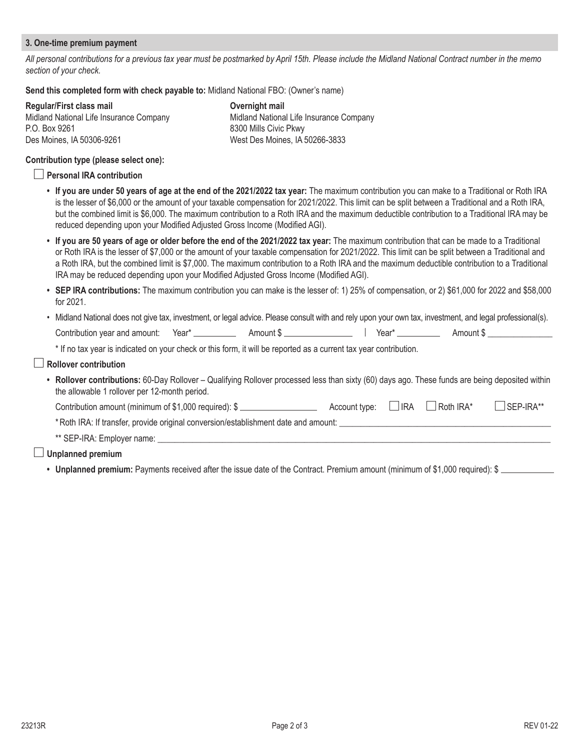## **3. One-time premium payment**

*All personal contributions for a previous tax year must be postmarked by April 15th. Please include the Midland National Contract number in the memo section of your check.*

#### **Send this completed form with check payable to:** Midland National FBO: (Owner's name)

| Regular/First class mail                | Overnight mail        |  |  |
|-----------------------------------------|-----------------------|--|--|
| Midland National Life Insurance Company | Midland Nationa       |  |  |
| P.O. Box 9261                           | 8300 Mills Civic      |  |  |
| Des Moines, IA 50306-9261               | <b>West Des Moine</b> |  |  |

Midland National Life Insurance Company 8300 Mills Civic Pkwy West Des Moines, IA 50266-3833

#### **Contribution type (please select one):**

#### **Personal IRA contribution**

- **• If you are under 50 years of age at the end of the 2021/2022 tax year:** The maximum contribution you can make to a Traditional or Roth IRA is the lesser of \$6,000 or the amount of your taxable compensation for 2021/2022. This limit can be split between a Traditional and a Roth IRA, but the combined limit is \$6,000. The maximum contribution to a Roth IRA and the maximum deductible contribution to a Traditional IRA may be reduced depending upon your Modified Adjusted Gross Income (Modified AGI).
- **• If you are 50 years of age or older before the end of the 2021/2022 tax year:** The maximum contribution that can be made to a Traditional or Roth IRA is the lesser of \$7,000 or the amount of your taxable compensation for 2021/2022. This limit can be split between a Traditional and a Roth IRA, but the combined limit is \$7,000. The maximum contribution to a Roth IRA and the maximum deductible contribution to a Traditional IRA may be reduced depending upon your Modified Adjusted Gross Income (Modified AGI).
- **• SEP IRA contributions:** The maximum contribution you can make is the lesser of: 1) 25% of compensation, or 2) \$61,000 for 2022 and \$58,000 for 2021.
- Midland National does not give tax, investment, or legal advice. Please consult with and rely upon your own tax, investment, and legal professional(s).  $\text{Continuation year and amount:} \quad \text{Year*} \quad \text{Amount $ } \text{3} \quad \text{Amount $ } \text{4} \quad \text{7} \quad \text{7} \quad \text{8} \quad \text{8} \quad \text{8} \quad \text{9} \quad \text{1} \quad \text{1} \quad \text{1} \quad \text{1} \quad \text{1} \quad \text{1} \quad \text{1} \quad \text{1} \quad \text{1} \quad \text{1} \quad \text{1} \quad \text{1} \quad \text{1} \quad \text{1} \quad \text{1} \quad \text{1} \quad \text{1} \quad \text{1} \quad \text{1} \$

\* If no tax year is indicated on your check or this form, it will be reported as a current tax year contribution.

| Rollover contribution |  |  |
|-----------------------|--|--|
|-----------------------|--|--|

**• Rollover contributions:** 60-Day Rollover – Qualifying Rollover processed less than sixty (60) days ago. These funds are being deposited within the allowable 1 rollover per 12-month period.

| Contribution amount (minimum of \$1,000 required): \$ | $\Box$ Account type: $\Box$ IRA $\Box$ Roth IRA* |  |  | $\Box$ SEP-IRA** |
|-------------------------------------------------------|--------------------------------------------------|--|--|------------------|
|-------------------------------------------------------|--------------------------------------------------|--|--|------------------|

\*Roth IRA: If transfer, provide original conversion/establishment date and amount: \_\_\_\_\_\_\_\_\_\_\_\_\_\_\_\_\_\_\_\_\_\_\_\_\_\_\_\_\_\_\_\_\_\_\_\_\_\_\_\_\_\_\_\_\_\_\_\_\_

\*\* SEP-IRA: Employer name: \_\_

## **Unplanned premium**

• **Unplanned premium:** Payments received after the issue date of the Contract. Premium amount (minimum of \$1,000 required): \$